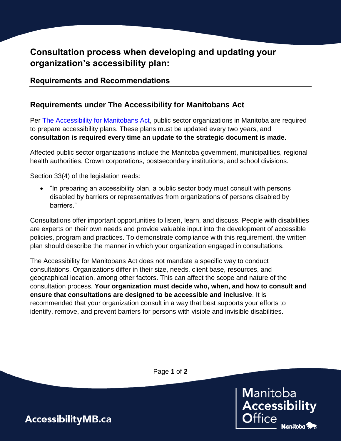## **Consultation process when developing and updating your organization's accessibility plan:**

## **Requirements and Recommendations**

## **Requirements under The Accessibility for Manitobans Act**

Per [The Accessibility for Manitobans Act,](https://web2.gov.mb.ca/laws/statutes/ccsm/a001-7e.php) public sector organizations in Manitoba are required to prepare accessibility plans. These plans must be updated every two years, and **consultation is required every time an update to the strategic document is made**.

Affected public sector organizations include the Manitoba government, municipalities, regional health authorities, Crown corporations, postsecondary institutions, and school divisions.

Section 33(4) of the legislation reads:

 "In preparing an accessibility plan, a public sector body must consult with persons disabled by barriers or representatives from organizations of persons disabled by barriers."

Consultations offer important opportunities to listen, learn, and discuss. People with disabilities are experts on their own needs and provide valuable input into the development of accessible policies, program and practices. To demonstrate compliance with this requirement, the written plan should describe the manner in which your organization engaged in consultations.

The Accessibility for Manitobans Act does not mandate a specific way to conduct consultations. Organizations differ in their size, needs, client base, resources, and geographical location, among other factors. This can affect the scope and nature of the consultation process. **Your organization must decide who, when, and how to consult and ensure that consultations are designed to be accessible and inclusive**. It is recommended that your organization consult in a way that best supports your efforts to identify, remove, and prevent barriers for persons with visible and invisible disabilities.



Page **1** of **2**

**AccessibilityMB.ca**